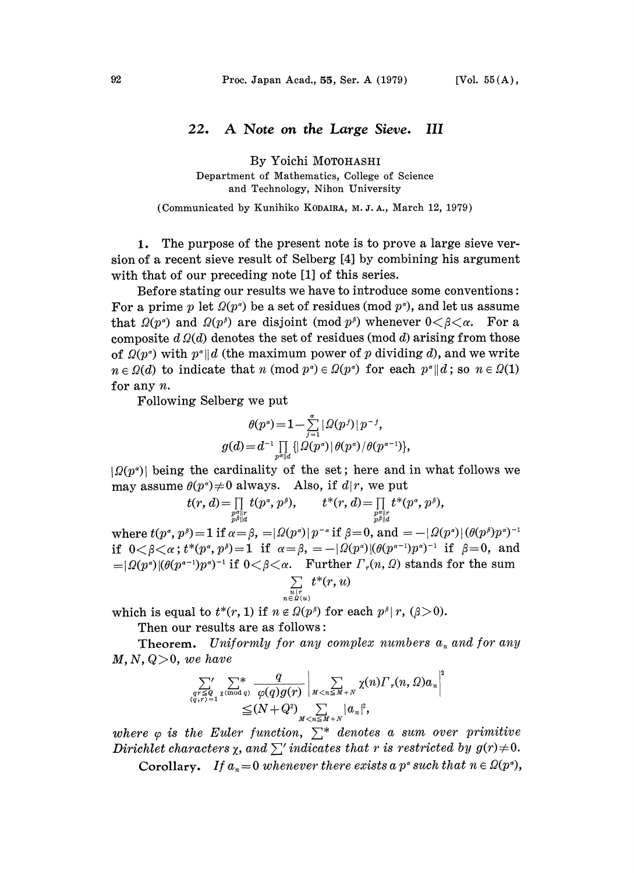## 22. A Note on the Large Sieve. Ш

By Yoichi MOTOHASHI

Department of Mathematics, College. of Science and Technology, Nihon University

(Communicated by Kunihiko KODAIRA, M. J. A., March 12, 1979)

1. The purpose of the present note is to prove a large sieve version of a recent sieve result of Selberg [4] by combining his. argument with that of our preceding note  $[1]$  of this series.

Before stating our results we have to introduce some conventions: For a prime p let  $\Omega(p^{\alpha})$  be a set of residues (mod  $p^{\alpha}$ ), and let us assume that  $\Omega(p^{\alpha})$  and  $\Omega(p^{\beta})$  are disjoint (mod  $p^{\beta}$ ) whenever  $0<\beta<\alpha$ . For a composite  $d\Omega(d)$  denotes the set of residues (mod d) arising from those of  $\Omega(p^{\alpha})$  with  $p^{\alpha}||d$  (the maximum power of p dividing d), and we write  $n \in \Omega(d)$  to indicate that n (mod  $p^{\alpha} \in \Omega(p^{\alpha})$  for each  $p^{\alpha} || d$ ; so  $n \in \Omega(1)$ for any n.

Following Selberg we put

$$
\theta(p^a) = 1 - \sum_{j=1}^{\alpha} |\varOmega(p^j)| \, p^{-j},
$$
\n
$$
g(d) = d^{-1} \prod_{p^{\alpha} ||d} \{ |\varOmega(p^{\alpha})| \, \theta(p^{\alpha})/\theta(p^{\alpha-1}) \},
$$

 $|\Omega(p^{\alpha})|$  being the cardinality of the set; here and in what follows we may assume  $\theta(p^a) \neq 0$  always. Also, if  $d|r$ , we put

$$
t(r, d) = \prod_{\substack{p \text{ all } \\ p \text{ odd}}} t(p^{\alpha}, p^{\beta}), \qquad t^*(r, d) = \prod_{\substack{p \text{ all } \\ p \text{ odd}}} t^*(p^{\alpha}, p^{\beta}),
$$

where  $t(p^{\alpha}, p^{\beta}) = 1$  if  $\alpha = \beta$ ,  $= |\Omega(p^{\alpha})| p^{-\alpha}$  if  $\beta = 0$ , and  $= -|\Omega(p^{\alpha})|(\theta(p^{\beta})p^{\alpha})$ if  $0 < \beta < \alpha$ ;  $t^*(p^{\alpha}, p^{\beta}) = 1$  if  $\alpha = \beta$ ,  $= -|\Omega(p^{\alpha})|(\theta(p^{\alpha-1})p^{\alpha})^{-1}$  if  $\beta = 0$ , and  $= |\Omega(p^{\alpha})|(\theta(p^{\alpha-1})p^{\alpha})^{-1}$  if  $0 < \beta < \alpha$ . Further  $\Gamma_x(n, \Omega)$  stands for the sum = $|\Omega(p^{\alpha})|(\theta(p^{\alpha-1})p^{\alpha})^{-1}$  if  $0<\beta<\alpha$ . Further  $\Gamma_r(n, \Omega)$  stands for the sum  $\sum t^*(r, u)$  $\sum t^{*}(r, u)$ 

$$
\mathop{\textstyle \sum}\limits_{\substack{u|r\\ n \in B(u)}} t^*(r,u
$$

which is equal to  $t^*(r, 1)$  if  $n \notin \Omega(p^{\beta})$  for each  $p^{\beta} | r, (\beta > 0)$ .

Then our results are as follows:

**Theorem.** Uniformly for any complex numbers  $a_n$  and for any  $M, N, Q > 0$ , we have

$$
\sum_{\substack{qr\leq Q\\(q,r)=1}}^{\prime\prime}\sum_{\chi(\text{mod }q)}^* \frac{q}{\varphi(q)g(r)}\left|\sum_{M  

$$
\leq (N+Q^2)\sum_{M
$$
$$

where  $\varphi$  is the Euler function,  $\sum^*$ <br>Dirichlet characters  $\chi$ , and  $\sum'$  indicat where  $\varphi$  is the Euler function,  $\sum^*$  denotes a sum over primitive Dirichlet characters  $\chi$ , and  $\sum'$  indicates that r is restricted by  $g(r)$ <br>Corollary. If  $a_n = 0$  whenever there exists a  $p^*$  such that  $n \in \Omega$ Corollary. If  $a_n=0$  whenever there exists a p<sup> $\circ$ </sup> such that  $n \in \Omega(p^{\alpha})$ ,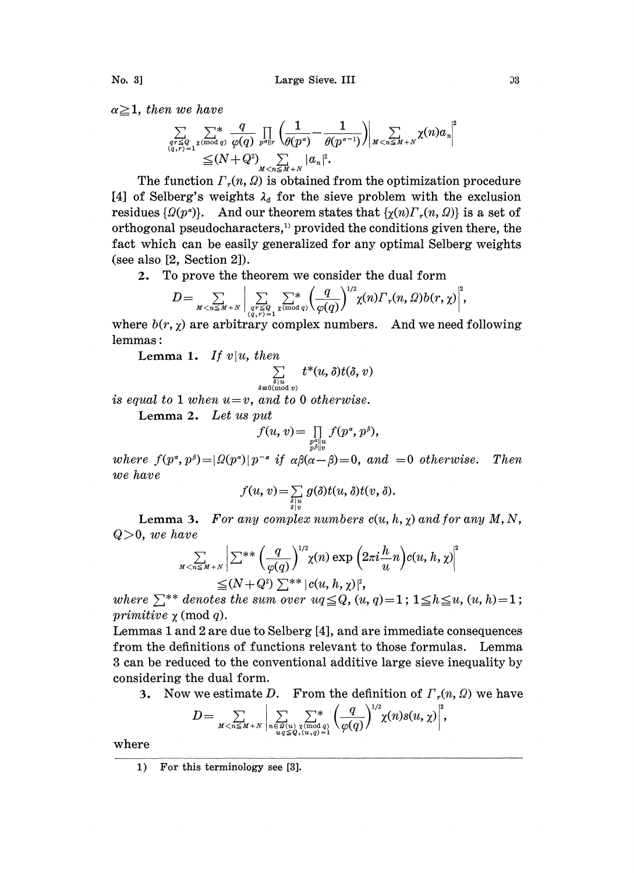$\alpha \geq 1$ , then we have

$$
\sum_{\substack{qr\leq Q\\(q,r)=1}}\sum_{\substack{\chi(\bmod q)\\ \leq (N+Q^2)\\ \leq (N+Q^2)\\ M
$$

The function  $\Gamma_r(n, \Omega)$  is obtained from the optimization procedure [4] of Selberg's weights  $\lambda_d$  for the sieve problem with the exclusion residues  $\{\Omega(p^{\alpha})\}$ . And our theorem states that  $\{\gamma(n)\Gamma_{r}(n, \Omega)\}$  is a set of orthogonal pseudocharacters,<sup>11</sup> provided the conditions given there, the fact which can be easily generalized for any optimal Selberg weights (see also [2, Section 2]).

2. To prove the theorem we consider the dual form

$$
D=\sum_{M
$$

where  $b(r, \chi)$  are arbitrary complex numbers. And we need following lemmas

Lemma 1. If  $v|u$ , then

$$
\sum_{\delta \mid u \atop \delta \equiv 0 \, (\text{mod } v)} t^*(u, \delta) t(\delta, v)
$$

is equal to 1 when  $u=v$ , and to 0 otherwise.

Lemma 2. Let us put

$$
f(u,v) = \prod_{\substack{p^{\alpha}||u\\p^{\beta}||v}} f(p^{\alpha}, p^{\beta}),
$$

where  $f(p^{\alpha}, p^{\beta}) = |\Omega(p^{\alpha})| p^{-\alpha}$  if  $\alpha\beta(\alpha-\beta)=0$ , and  $=0$  otherwise. Then we have

$$
f(u, v) = \sum_{\delta | u \atop \delta | v} g(\delta) t(u, \delta) t(v, \delta).
$$

Lemma 3. For any complex numbers  $c(u, h, \chi)$  and for any  $M, N$ ,  $Q>0$ , we have

$$
\sum_{M < n \le M+N} \left| \sum_{k=1}^{N} \sum_{j=1}^{N} \left( \frac{q}{\varphi(q)} \right)^{1/2} \chi(n) \exp\left(2\pi i \frac{h}{u} n\right) c(u, h, \chi) \right|^2
$$
\n
$$
\leq (N+Q^2) \sum_{k=1}^{N} |c(u, h, \chi)|^2,
$$

where  $\sum^{**}$  denotes the sum over  $uq \leq Q$ ,  $(u, q)=1$ ;  $1 \leq h \leq u$ ,  $(u, h)=1$ ; <br>primitive  $\gamma$  (mod q). primitive  $\chi$  (mod q).

Lemmas <sup>I</sup> and 2 are due to Selberg [4], and are immediate consequences. from the definitions of functions relevant to those formulas. Lemma 3 can be reduced to the conventional additive large sieve inequality by considering the dual form.

3. Now we estimate D. From the definition of  $\Gamma_r(n, \Omega)$  we have

$$
D=\sum_{M < n \leq M+N} \left| \sum_{\substack{n \in \Omega(u) \\ u q \leq Q, (u, q)=1}} \sum_{\substack{\chi \bmod{q} \\ \chi(q) = 1}} \left(\frac{q}{\varphi(q)}\right)^{1/2} \chi(n) s(u, \chi) \right|^2,
$$

where

<sup>1)</sup> For this terminology see [3].